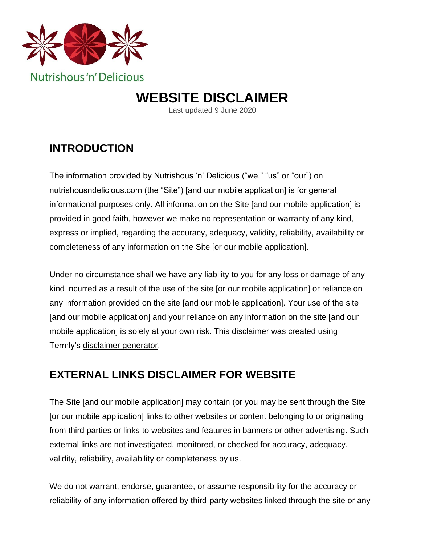

# **WEBSITE DISCLAIMER**

Last updated 9 June 2020

## **INTRODUCTION**

The information provided by Nutrishous 'n' Delicious ("we," "us" or "our") on nutrishousndelicious.com (the "Site") [and our mobile application] is for general informational purposes only. All information on the Site [and our mobile application] is provided in good faith, however we make no representation or warranty of any kind, express or implied, regarding the accuracy, adequacy, validity, reliability, availability or completeness of any information on the Site [or our mobile application].

Under no circumstance shall we have any liability to you for any loss or damage of any kind incurred as a result of the use of the site [or our mobile application] or reliance on any information provided on the site [and our mobile application]. Your use of the site [and our mobile application] and your reliance on any information on the site [and our mobile application] is solely at your own risk. This disclaimer was created using Termly's [disclaimer generator.](https://termly.io/products/disclaimer-generator/)

#### **EXTERNAL LINKS DISCLAIMER FOR WEBSITE**

The Site [and our mobile application] may contain (or you may be sent through the Site [or our mobile application] links to other websites or content belonging to or originating from third parties or links to websites and features in banners or other advertising. Such external links are not investigated, monitored, or checked for accuracy, adequacy, validity, reliability, availability or completeness by us.

We do not warrant, endorse, guarantee, or assume responsibility for the accuracy or reliability of any information offered by third-party websites linked through the site or any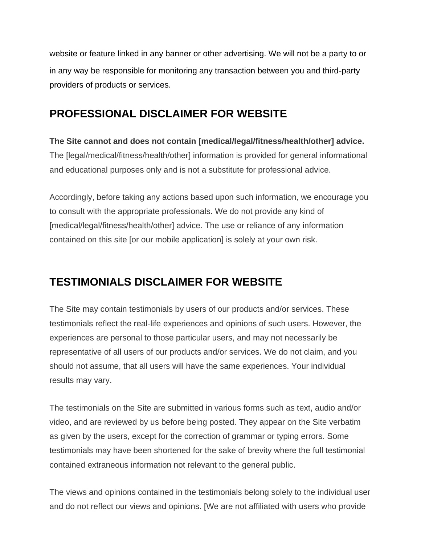website or feature linked in any banner or other advertising. We will not be a party to or in any way be responsible for monitoring any transaction between you and third-party providers of products or services.

## **PROFESSIONAL DISCLAIMER FOR WEBSITE**

#### **The Site cannot and does not contain [medical/legal/fitness/health/other] advice.**  The [legal/medical/fitness/health/other] information is provided for general informational and educational purposes only and is not a substitute for professional advice.

Accordingly, before taking any actions based upon such information, we encourage you to consult with the appropriate professionals. We do not provide any kind of [medical/legal/fitness/health/other] advice. The use or reliance of any information contained on this site [or our mobile application] is solely at your own risk.

## **TESTIMONIALS DISCLAIMER FOR WEBSITE**

The Site may contain testimonials by users of our products and/or services. These testimonials reflect the real-life experiences and opinions of such users. However, the experiences are personal to those particular users, and may not necessarily be representative of all users of our products and/or services. We do not claim, and you should not assume, that all users will have the same experiences. Your individual results may vary.

The testimonials on the Site are submitted in various forms such as text, audio and/or video, and are reviewed by us before being posted. They appear on the Site verbatim as given by the users, except for the correction of grammar or typing errors. Some testimonials may have been shortened for the sake of brevity where the full testimonial contained extraneous information not relevant to the general public.

The views and opinions contained in the testimonials belong solely to the individual user and do not reflect our views and opinions. [We are not affiliated with users who provide